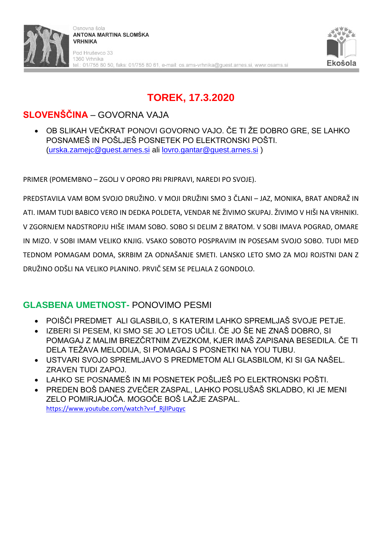

# **TOREK, 17.3.2020**

## **SLOVENŠČINA** – GOVORNA VAJA

• OB SLIKAH VEČKRAT PONOVI GOVORNO VAJO. ČE TI ŽE DOBRO GRE, SE LAHKO POSNAMEŠ IN POŠLJEŠ POSNETEK PO ELEKTRONSKI POŠTI. [\(urska.zamejc@guest.arnes.si](mailto:urska.zamejc@guest.arnes.si) ali [lovro.gantar@guest.arnes.si](mailto:lovro.gantar@guest.arnes.si) )

PRIMER (POMEMBNO – ZGOLJ V OPORO PRI PRIPRAVI, NAREDI PO SVOJE).

PREDSTAVILA VAM BOM SVOJO DRUŽINO. V MOJI DRUŽINI SMO 3 ČLANI – JAZ, MONIKA, BRAT ANDRAŽ IN ATI. IMAM TUDI BABICO VERO IN DEDKA POLDETA, VENDAR NE ŽIVIMO SKUPAJ. ŽIVIMO V HIŠI NA VRHNIKI. V ZGORNJEM NADSTROPJU HIŠE IMAM SOBO. SOBO SI DELIM Z BRATOM. V SOBI IMAVA POGRAD, OMARE IN MIZO. V SOBI IMAM VELIKO KNJIG. VSAKO SOBOTO POSPRAVIM IN POSESAM SVOJO SOBO. TUDI MED TEDNOM POMAGAM DOMA, SKRBIM ZA ODNAŠANJE SMETI. LANSKO LETO SMO ZA MOJ ROJSTNI DAN Z DRUŽINO ODŠLI NA VELIKO PLANINO. PRVIČ SEM SE PELJALA Z GONDOLO.

### **GLASBENA UMETNOST-** PONOVIMO PESMI

- POIŠČI PREDMET ALI GLASBILO, S KATERIM LAHKO SPREMLJAŠ SVOJE PETJE.
- IZBERI SI PESEM, KI SMO SE JO LETOS UČILI. ČE JO ŠE NE ZNAŠ DOBRO, SI POMAGAJ Z MALIM BREZČRTNIM ZVEZKOM, KJER IMAŠ ZAPISANA BESEDILA. ČE TI DELA TEŽAVA MELODIJA, SI POMAGAJ S POSNETKI NA YOU TUBU.
- USTVARI SVOJO SPREMLJAVO S PREDMETOM ALI GLASBILOM, KI SI GA NAŠEL. ZRAVEN TUDI ZAPOJ.
- LAHKO SE POSNAMEŠ IN MI POSNETEK POŠLJEŠ PO ELEKTRONSKI POŠTI.
- PREDEN BOŠ DANES ZVEČER ZASPAL, LAHKO POSLUŠAŠ SKLADBO, KI JE MENI ZELO POMIRJAJOČA. MOGOČE BOŠ LAŽJE ZASPAL. [https://www.youtube.com/watch?v=f\\_RjlIPuqyc](https://www.youtube.com/watch?v=f_RjlIPuqyc)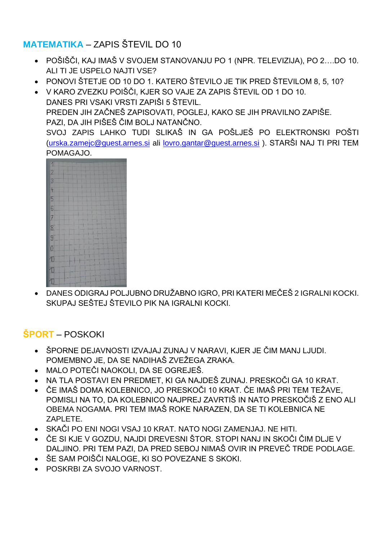#### **MATEMATIKA** – ZAPIS ŠTEVIL DO 10

- POŠIŠČI, KAJ IMAŠ V SVOJEM STANOVANJU PO 1 (NPR. TELEVIZIJA), PO 2….DO 10. ALI TI JE USPELO NAJTI VSE?
- PONOVI ŠTETJE OD 10 DO 1. KATERO ŠTEVILO JE TIK PRED ŠTEVILOM 8, 5, 10?
- V KARO ZVEZKU POIŠČI, KJER SO VAJE ZA ZAPIS ŠTEVIL OD 1 DO 10. DANES PRI VSAKI VRSTI ZAPIŠI 5 ŠTEVIL. PREDEN JIH ZAČNEŠ ZAPISOVATI, POGLEJ, KAKO SE JIH PRAVILNO ZAPIŠE. PAZI, DA JIH PIŠEŠ ČIM BOLJ NATANČNO. SVOJ ZAPIS LAHKO TUDI SLIKAŠ IN GA POŠLJEŠ PO ELEKTRONSKI POŠTI [\(urska.zamejc@guest.arnes.si](mailto:urska.zamejc@guest.arnes.si) ali [lovro.gantar@guest.arnes.si](mailto:lovro.gantar@guest.arnes.si) ). STARŠI NAJ TI PRI TEM

#### POMAGAJO.



• DANES ODIGRAJ POLJUBNO DRUŽABNO IGRO, PRI KATERI MEČEŠ 2 IGRALNI KOCKI. SKUPAJ SEŠTEJ ŠTEVILO PIK NA IGRALNI KOCKI.

### **ŠPORT** – POSKOKI

- ŠPORNE DEJAVNOSTI IZVAJAJ ZUNAJ V NARAVI, KJER JE ČIM MANJ LJUDI. POMEMBNO JE, DA SE NADIHAŠ ZVEŽEGA ZRAKA.
- MALO POTEČI NAOKOLI, DA SE OGREJEŠ.
- NA TLA POSTAVI EN PREDMET, KI GA NAJDEŠ ZUNAJ. PRESKOČI GA 10 KRAT.
- ČE IMAŠ DOMA KOLEBNICO, JO PRESKOČI 10 KRAT. ČE IMAŠ PRI TEM TEŽAVE, POMISLI NA TO, DA KOLEBNICO NAJPREJ ZAVRTIŠ IN NATO PRESKOČIŠ Z ENO ALI OBEMA NOGAMA. PRI TEM IMAŠ ROKE NARAZEN, DA SE TI KOLEBNICA NE ZAPLETE.
- SKAČI PO ENI NOGI VSAJ 10 KRAT. NATO NOGI ZAMENJAJ. NE HITI.
- ČE SI KJE V GOZDU, NAJDI DREVESNI ŠTOR. STOPI NANJ IN SKOČI ČIM DLJE V DALJINO. PRI TEM PAZI, DA PRED SEBOJ NIMAŠ OVIR IN PREVEČ TRDE PODLAGE.
- ŠE SAM POIŠČI NALOGE, KI SO POVEZANE S SKOKI.
- POSKRBI ZA SVOJO VARNOST.